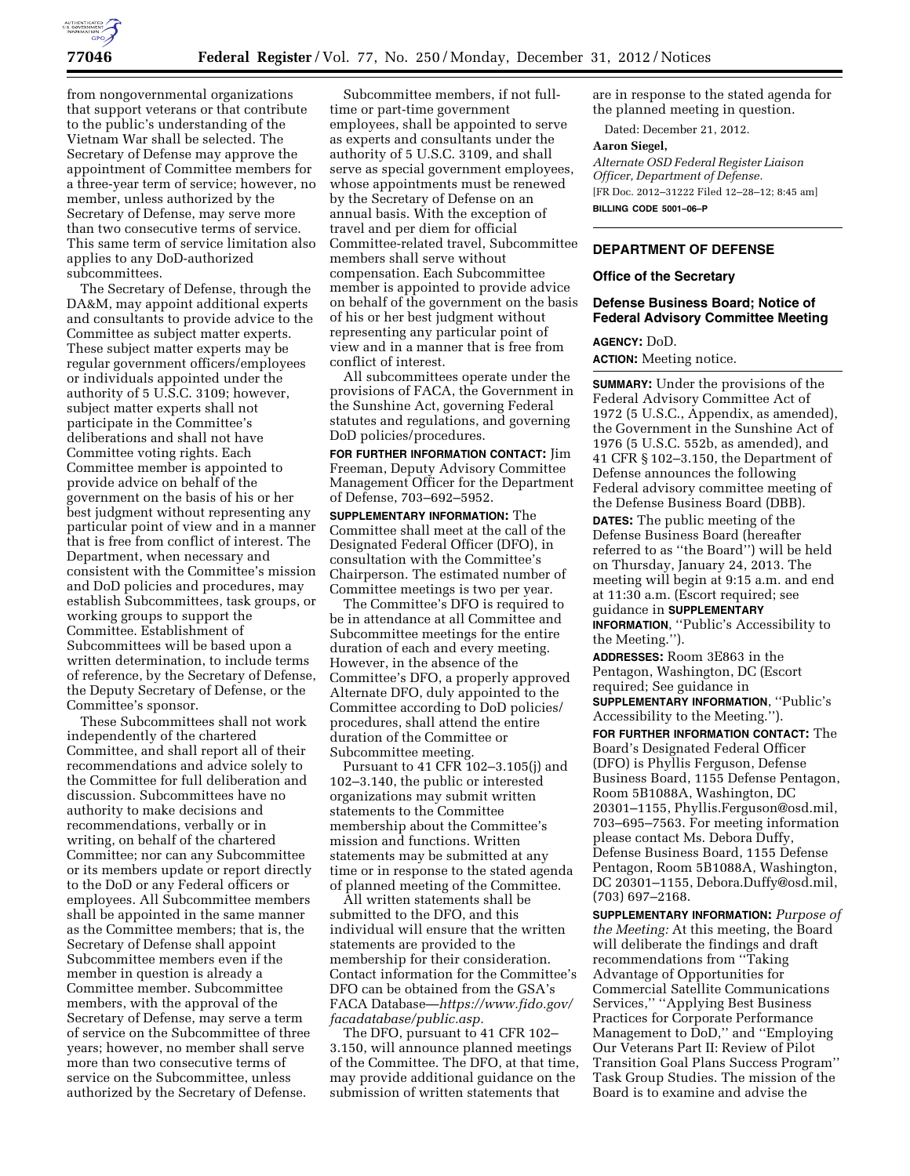

from nongovernmental organizations that support veterans or that contribute to the public's understanding of the Vietnam War shall be selected. The Secretary of Defense may approve the appointment of Committee members for a three-year term of service; however, no member, unless authorized by the Secretary of Defense, may serve more than two consecutive terms of service. This same term of service limitation also applies to any DoD-authorized subcommittees.

The Secretary of Defense, through the DA&M, may appoint additional experts and consultants to provide advice to the Committee as subject matter experts. These subject matter experts may be regular government officers/employees or individuals appointed under the authority of 5 U.S.C. 3109; however, subject matter experts shall not participate in the Committee's deliberations and shall not have Committee voting rights. Each Committee member is appointed to provide advice on behalf of the government on the basis of his or her best judgment without representing any particular point of view and in a manner that is free from conflict of interest. The Department, when necessary and consistent with the Committee's mission and DoD policies and procedures, may establish Subcommittees, task groups, or working groups to support the Committee. Establishment of Subcommittees will be based upon a written determination, to include terms of reference, by the Secretary of Defense, the Deputy Secretary of Defense, or the Committee's sponsor.

These Subcommittees shall not work independently of the chartered Committee, and shall report all of their recommendations and advice solely to the Committee for full deliberation and discussion. Subcommittees have no authority to make decisions and recommendations, verbally or in writing, on behalf of the chartered Committee; nor can any Subcommittee or its members update or report directly to the DoD or any Federal officers or employees. All Subcommittee members shall be appointed in the same manner as the Committee members; that is, the Secretary of Defense shall appoint Subcommittee members even if the member in question is already a Committee member. Subcommittee members, with the approval of the Secretary of Defense, may serve a term of service on the Subcommittee of three years; however, no member shall serve more than two consecutive terms of service on the Subcommittee, unless authorized by the Secretary of Defense.

Subcommittee members, if not fulltime or part-time government employees, shall be appointed to serve as experts and consultants under the authority of 5 U.S.C. 3109, and shall serve as special government employees, whose appointments must be renewed by the Secretary of Defense on an annual basis. With the exception of travel and per diem for official Committee-related travel, Subcommittee members shall serve without compensation. Each Subcommittee member is appointed to provide advice on behalf of the government on the basis of his or her best judgment without representing any particular point of view and in a manner that is free from conflict of interest.

All subcommittees operate under the provisions of FACA, the Government in the Sunshine Act, governing Federal statutes and regulations, and governing DoD policies/procedures.

**FOR FURTHER INFORMATION CONTACT:** Jim Freeman, Deputy Advisory Committee Management Officer for the Department of Defense, 703–692–5952.

**SUPPLEMENTARY INFORMATION:** The Committee shall meet at the call of the Designated Federal Officer (DFO), in consultation with the Committee's Chairperson. The estimated number of Committee meetings is two per year.

The Committee's DFO is required to be in attendance at all Committee and Subcommittee meetings for the entire duration of each and every meeting. However, in the absence of the Committee's DFO, a properly approved Alternate DFO, duly appointed to the Committee according to DoD policies/ procedures, shall attend the entire duration of the Committee or Subcommittee meeting.

Pursuant to 41 CFR 102–3.105(j) and 102–3.140, the public or interested organizations may submit written statements to the Committee membership about the Committee's mission and functions. Written statements may be submitted at any time or in response to the stated agenda of planned meeting of the Committee.

All written statements shall be submitted to the DFO, and this individual will ensure that the written statements are provided to the membership for their consideration. Contact information for the Committee's DFO can be obtained from the GSA's FACA Database—*[https://www.fido.gov/](https://www.fido.gov/facadatabase/public.asp) [facadatabase/public.asp.](https://www.fido.gov/facadatabase/public.asp)* 

The DFO, pursuant to 41 CFR 102– 3.150, will announce planned meetings of the Committee. The DFO, at that time, may provide additional guidance on the submission of written statements that

are in response to the stated agenda for the planned meeting in question.

Dated: December 21, 2012.

## **Aaron Siegel,**

*Alternate OSD Federal Register Liaison Officer, Department of Defense.*  [FR Doc. 2012–31222 Filed 12–28–12; 8:45 am] **BILLING CODE 5001–06–P** 

### **DEPARTMENT OF DEFENSE**

### **Office of the Secretary**

## **Defense Business Board; Notice of Federal Advisory Committee Meeting**

# **AGENCY:** DoD.

**ACTION:** Meeting notice.

**SUMMARY:** Under the provisions of the Federal Advisory Committee Act of 1972 (5 U.S.C., Appendix, as amended), the Government in the Sunshine Act of 1976 (5 U.S.C. 552b, as amended), and 41 CFR § 102–3.150, the Department of Defense announces the following Federal advisory committee meeting of the Defense Business Board (DBB). **DATES:** The public meeting of the Defense Business Board (hereafter referred to as ''the Board'') will be held on Thursday, January 24, 2013. The meeting will begin at 9:15 a.m. and end at 11:30 a.m. (Escort required; see guidance in **SUPPLEMENTARY INFORMATION**, ''Public's Accessibility to

the Meeting.'').

**ADDRESSES:** Room 3E863 in the Pentagon, Washington, DC (Escort required; See guidance in **SUPPLEMENTARY INFORMATION**, ''Public's Accessibility to the Meeting.'').

**FOR FURTHER INFORMATION CONTACT:** The Board's Designated Federal Officer (DFO) is Phyllis Ferguson, Defense Business Board, 1155 Defense Pentagon, Room 5B1088A, Washington, DC 20301–1155, [Phyllis.Ferguson@osd.mil](mailto:Phyllis.Ferguson@osd.mil), 703–695–7563. For meeting information please contact Ms. Debora Duffy, Defense Business Board, 1155 Defense Pentagon, Room 5B1088A, Washington, DC 20301–1155, [Debora.Duffy@osd.mil,](mailto:Debora.Duffy@osd.mil)  (703) 697–2168.

**SUPPLEMENTARY INFORMATION:** *Purpose of the Meeting:* At this meeting, the Board will deliberate the findings and draft recommendations from ''Taking Advantage of Opportunities for Commercial Satellite Communications Services,'' ''Applying Best Business Practices for Corporate Performance Management to DoD,'' and ''Employing Our Veterans Part II: Review of Pilot Transition Goal Plans Success Program'' Task Group Studies. The mission of the Board is to examine and advise the